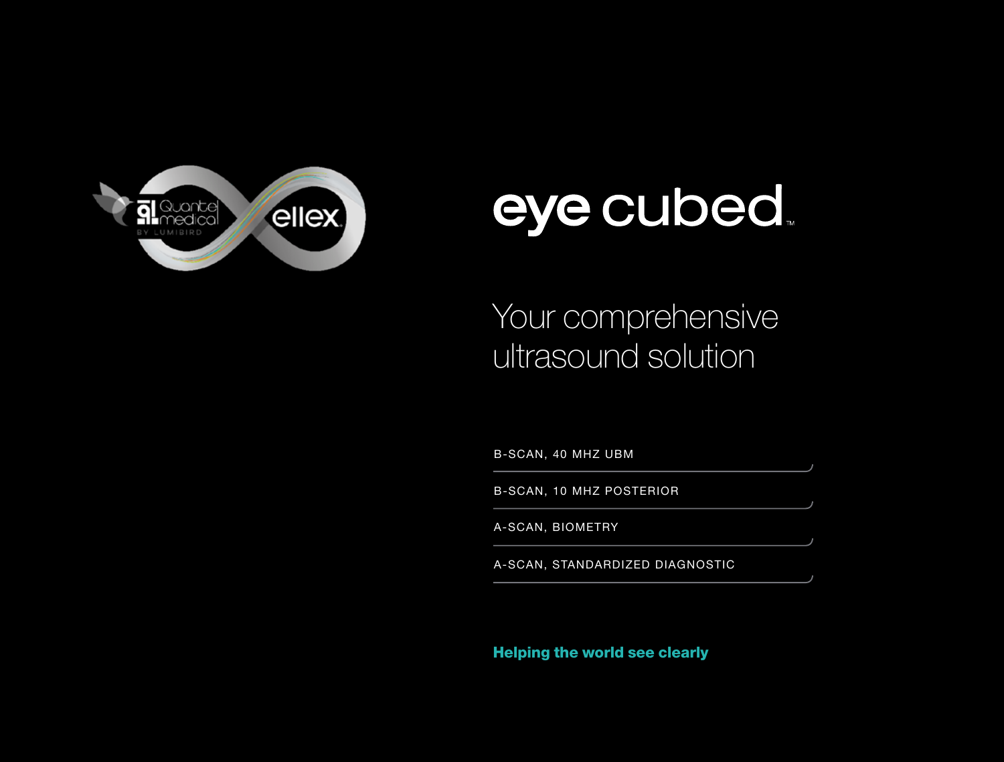

# eye cubed.

## Your comprehensive ultrasound solution

B-SCAN, 40 MHZ UBM

B-SCAN, 10 MHZ POSTERIOR

A-SCAN, BIOMETRY

A-SCAN, STANDARDIZED DIAGNOSTIC

Helping the world see clearly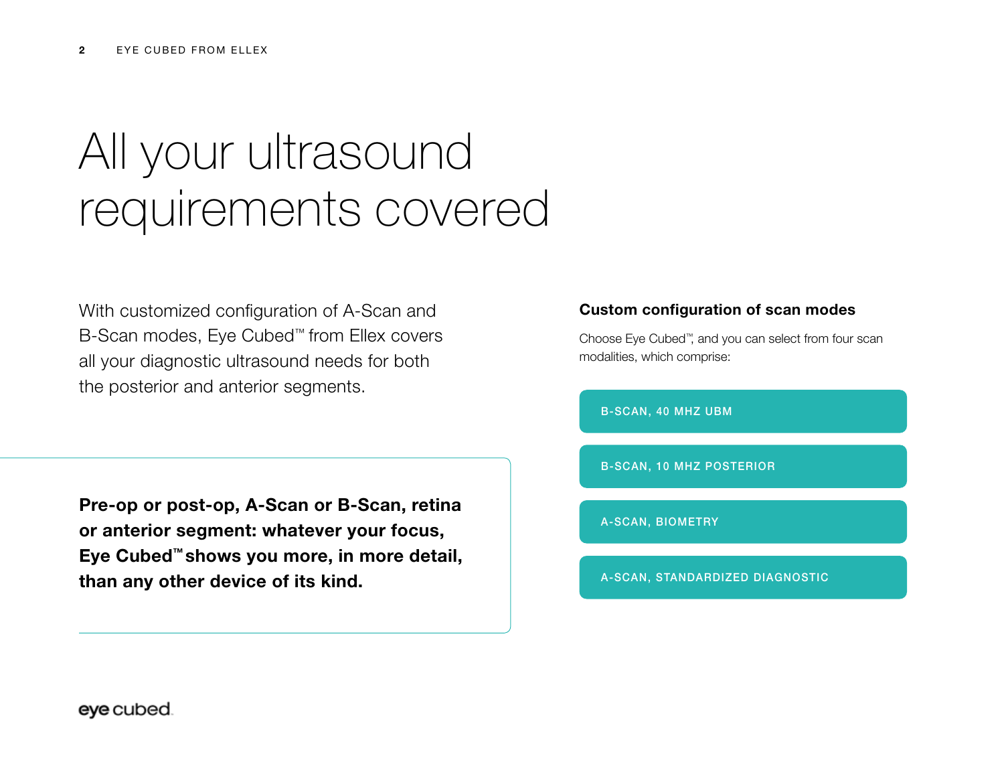# All your ultrasound requirements covered

With customized configuration of A-Scan and B-Scan modes, Eye Cubed™ from Ellex covers all your diagnostic ultrasound needs for both the posterior and anterior segments.

Pre-op or post-op, A-Scan or B-Scan, retina or anterior segment: whatever your focus, Eye Cubed™ shows you more, in more detail, than any other device of its kind.

## Custom configuration of scan modes

Choose Eye Cubed™, and you can select from four scan modalities, which comprise:

B-SCAN, 40 MHZ UBM

B-SCAN, 10 MHZ POSTERIOR

A-SCAN, BIOMETRY

A-SCAN, STANDARDIZED DIAGNOSTIC

eye cubed.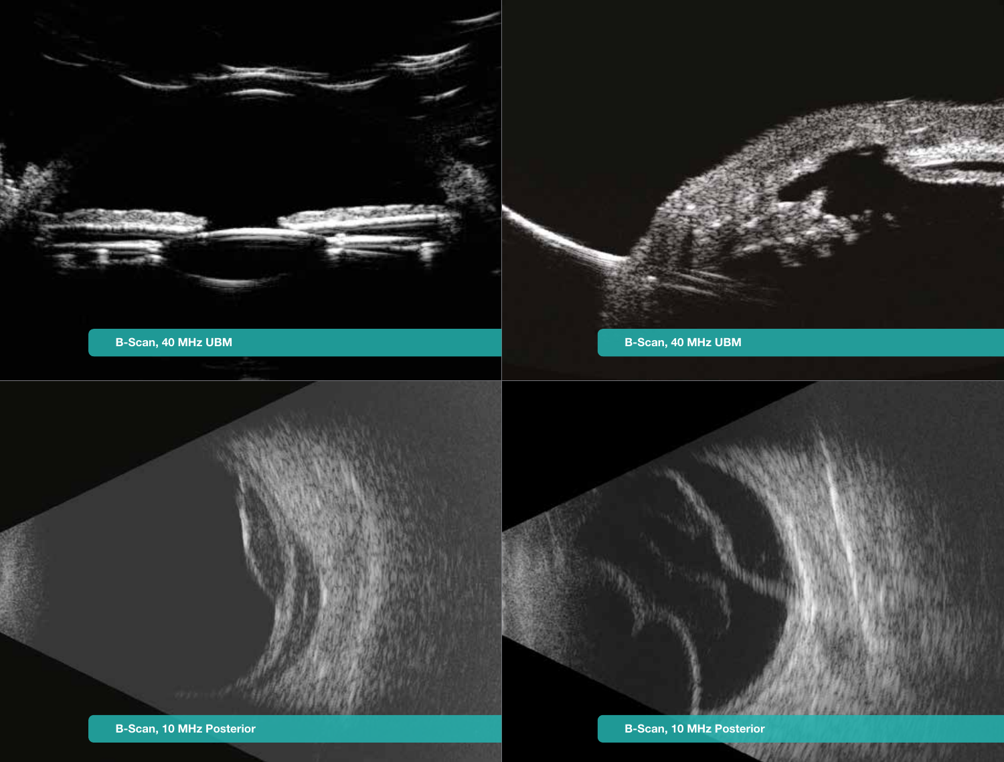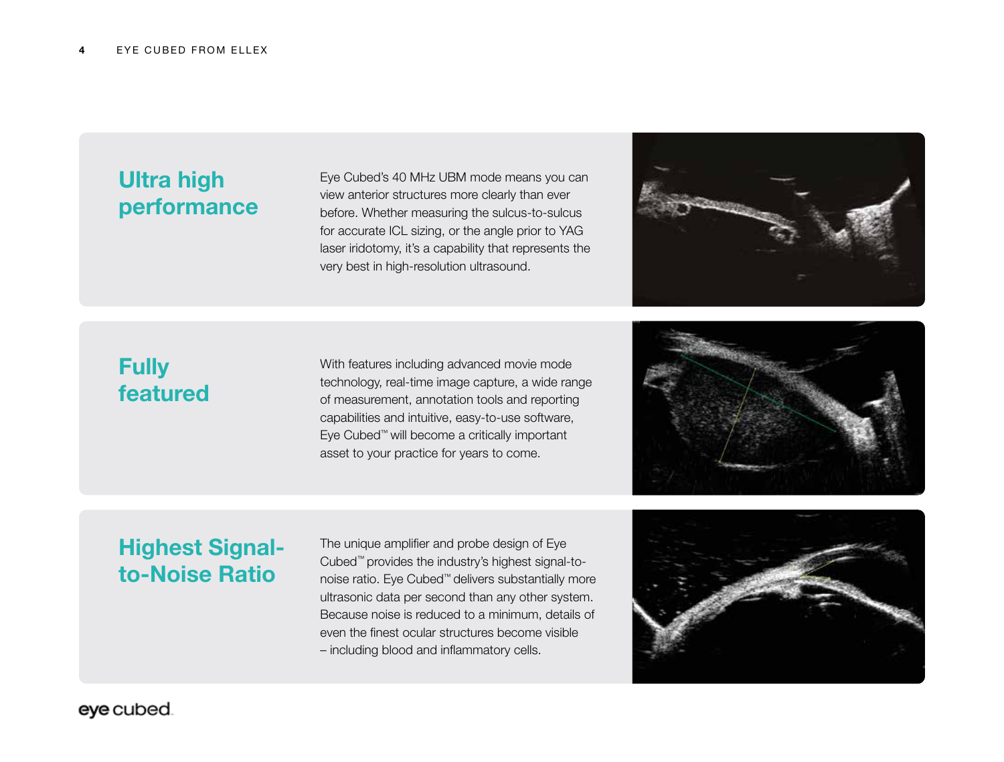## Ultra high performance

Eye Cubed's 40 MHz UBM mode means you can view anterior structures more clearly than ever before. Whether measuring the sulcus-to-sulcus for accurate ICL sizing, or the angle prior to YAG laser iridotomy, it's a capability that represents the very best in high-resolution ultrasound.



## **Fully** featured

With features including advanced movie mode technology, real-time image capture, a wide range of measurement, annotation tools and reporting capabilities and intuitive, easy-to-use software, Eye Cubed™ will become a critically important asset to your practice for years to come.



## Highest Signalto-Noise Ratio

The unique amplifier and probe design of Eye Cubed™ provides the industry's highest signal-tonoise ratio. Eye Cubed™ delivers substantially more ultrasonic data per second than any other system. Because noise is reduced to a minimum, details of even the finest ocular structures become visible – including blood and inflammatory cells.



eye cubed.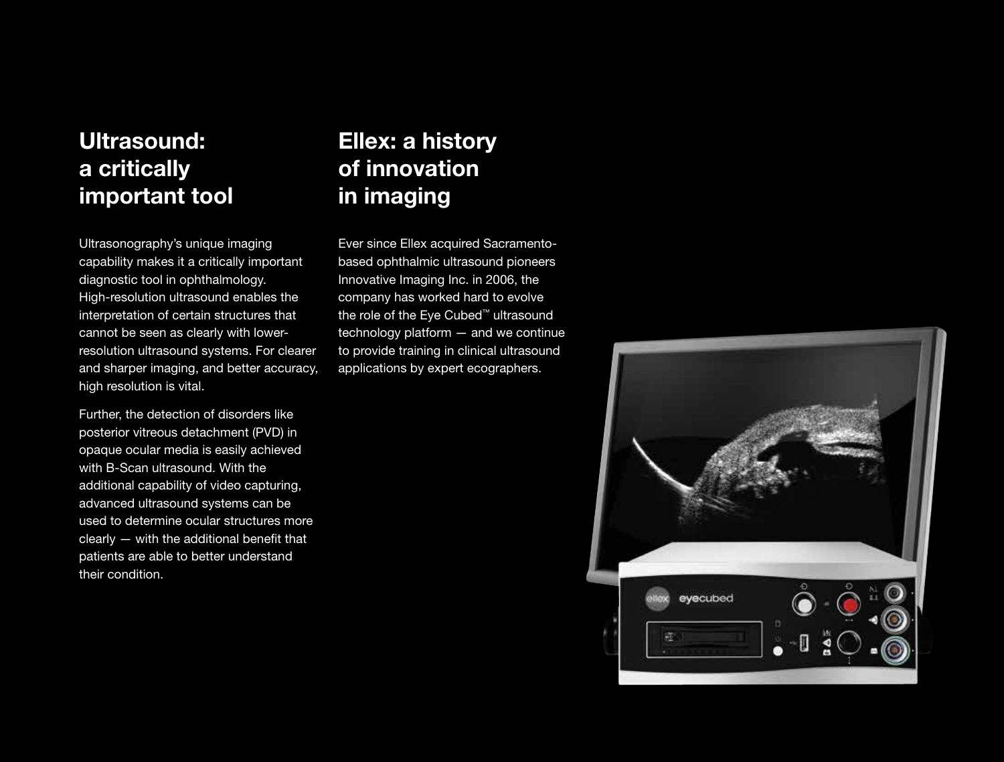## Ultrasound: a critically important tool

Ultrasonography's unique imaging capability makes it a critically important diagnostic tool in ophthalmology. High-resolution ultrasound enables the interpretation of certain structures that cannot be seen as clearly with lowerresolution ultrasound systems. For clearer and sharper imaging, and better accuracy, high resolution is vital.

Further, the detection of disorders like posterior vitreous detachment (PVD) in opaque ocular media is easily achieved with B-Scan ultrasound. With the additional capability of video capturing, advanced ultrasound systems can be used to determine ocular structures more clearly — with the additional benefit that patients are able to better understand their condition.

## Ellex: a history of innovation in imaging

Ever since Ellex acquired Sacramentobased ophthalmic ultrasound pioneers Innovative Imaging Inc. in 2006, the company has worked hard to evolve the role of the Eye Cubed™ ultrasound technology platform — and we continue to provide training in clinical ultrasound applications by expert ecographers.

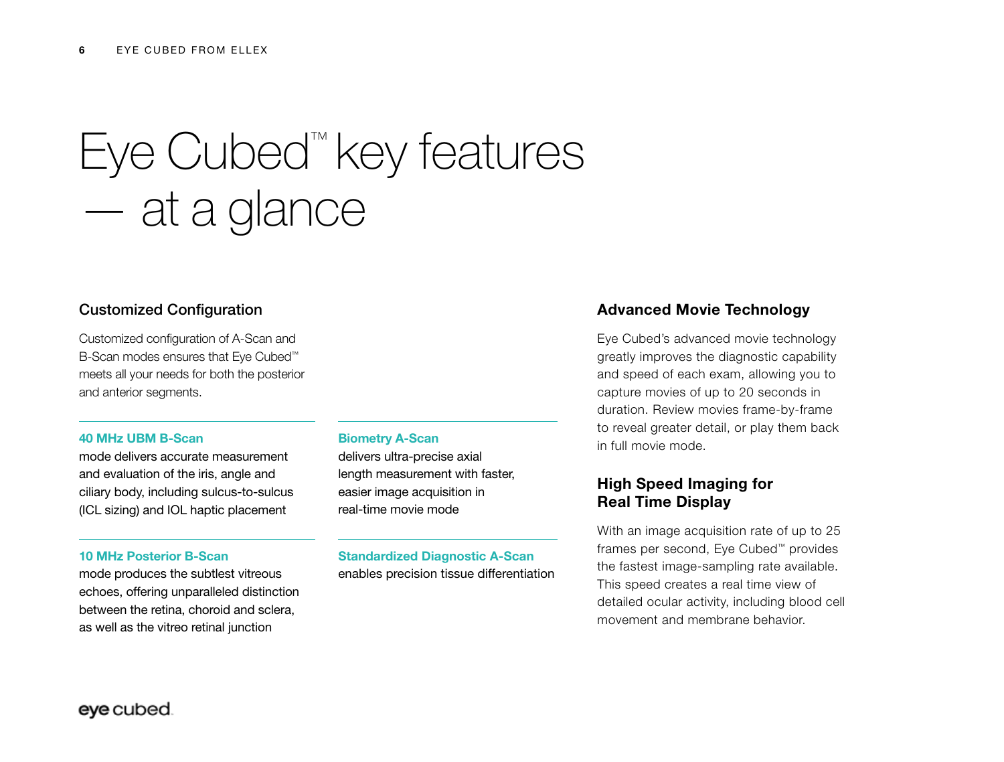# Eye Cubed™ key features — at a glance

## Customized Configuration

Customized configuration of A-Scan and B-Scan modes ensures that Eye Cubed™ meets all your needs for both the posterior and anterior segments.

### 40 MHz UBM B-Scan

mode delivers accurate measurement and evaluation of the iris, angle and ciliary body, including sulcus-to-sulcus (ICL sizing) and IOL haptic placement

#### 10 MHz Posterior B-Scan

mode produces the subtlest vitreous echoes, offering unparalleled distinction between the retina, choroid and sclera, as well as the vitreo retinal junction

#### Biometry A-Scan

delivers ultra-precise axial length measurement with faster, easier image acquisition in real-time movie mode

### Standardized Diagnostic A-Scan enables precision tissue differentiation

### Advanced Movie Technology

Eye Cubed's advanced movie technology greatly improves the diagnostic capability and speed of each exam, allowing you to capture movies of up to 20 seconds in duration. Review movies frame-by-frame to reveal greater detail, or play them back in full movie mode.

## High Speed Imaging for Real Time Display

With an image acquisition rate of up to 25 frames per second, Eye Cubed™ provides the fastest image-sampling rate available. This speed creates a real time view of detailed ocular activity, including blood cell movement and membrane behavior.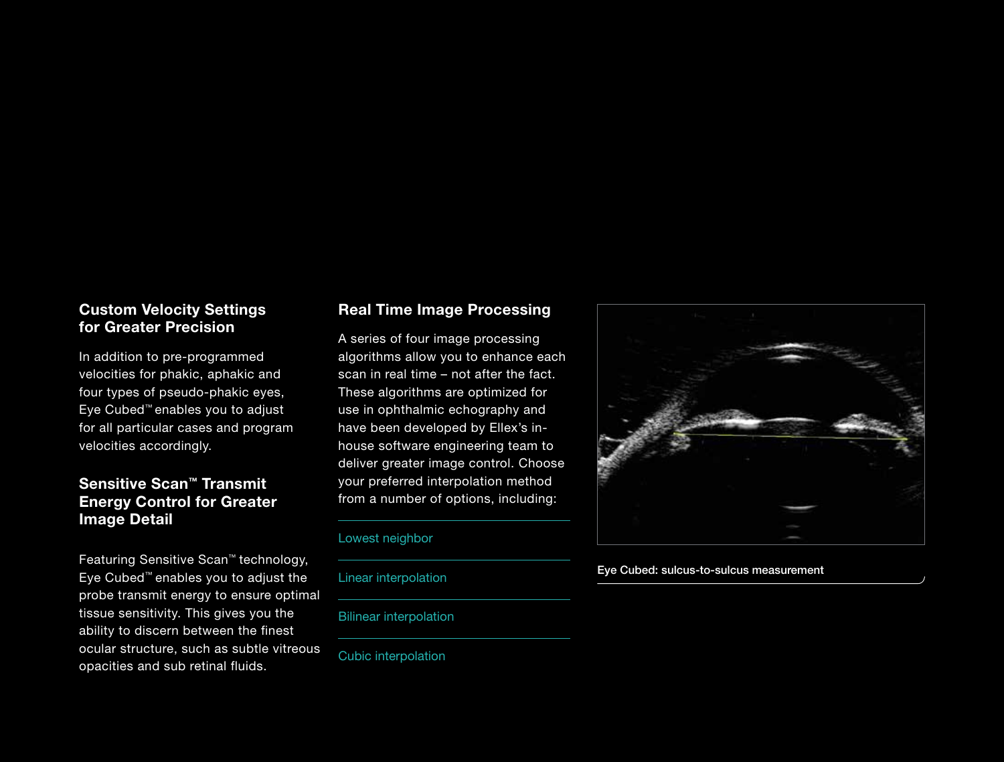## Custom Velocity Settings for Greater Precision

In addition to pre-programmed velocities for phakic, aphakic and four types of pseudo-phakic eyes, Eye Cubed™ enables you to adjust for all particular cases and program velocities accordingly.

## Sensitive Scan™ Transmit Energy Control for Greater Image Detail

Featuring Sensitive Scan™ technology, Eye Cubed™ enables you to adjust the probe transmit energy to ensure optimal tissue sensitivity. This gives you the ability to discern between the finest ocular structure, such as subtle vitreous opacities and sub retinal fluids.

## Real Time Image Processing

A series of four image processing algorithms allow you to enhance each scan in real time – not after the fact. These algorithms are optimized for use in ophthalmic echography and have been developed by Ellex's inhouse software engineering team to deliver greater image control. Choose your preferred interpolation method from a number of options, including:

### Lowest neighbor

Linear interpolation

### Bilinear interpolation

Cubic interpolation



#### Eye Cubed: sulcus-to-sulcus measurement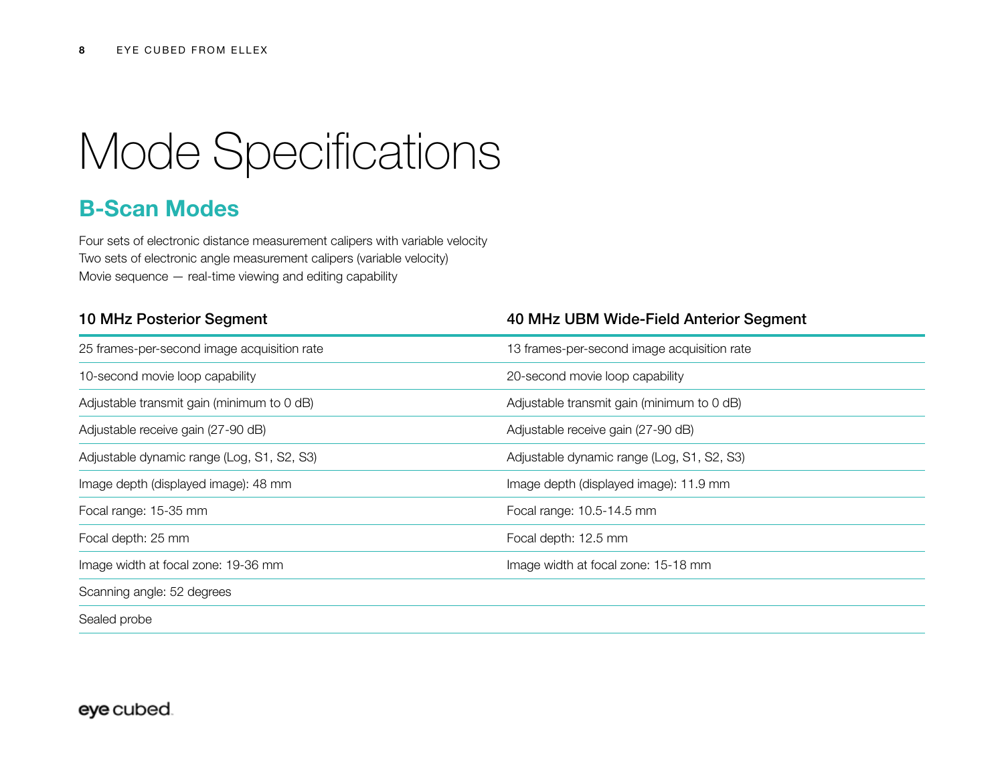## Mode Specifications

## B-Scan Modes

Four sets of electronic distance measurement calipers with variable velocity Two sets of electronic angle measurement calipers (variable velocity) Movie sequence — real-time viewing and editing capability

| <b>10 MHz Posterior Segment</b>             | 40 MHz UBM Wide-Field Anterior Segment      |
|---------------------------------------------|---------------------------------------------|
| 25 frames-per-second image acquisition rate | 13 frames-per-second image acquisition rate |
| 10-second movie loop capability             | 20-second movie loop capability             |
| Adjustable transmit gain (minimum to 0 dB)  | Adjustable transmit gain (minimum to 0 dB)  |
| Adjustable receive gain (27-90 dB)          | Adjustable receive gain (27-90 dB)          |
| Adjustable dynamic range (Log, S1, S2, S3)  | Adjustable dynamic range (Log, S1, S2, S3)  |
| Image depth (displayed image): 48 mm        | Image depth (displayed image): 11.9 mm      |
| Focal range: 15-35 mm                       | Focal range: 10.5-14.5 mm                   |
| Focal depth: 25 mm                          | Focal depth: 12.5 mm                        |
| Image width at focal zone: 19-36 mm         | Image width at focal zone: 15-18 mm         |
| Scanning angle: 52 degrees                  |                                             |
| Sealed probe                                |                                             |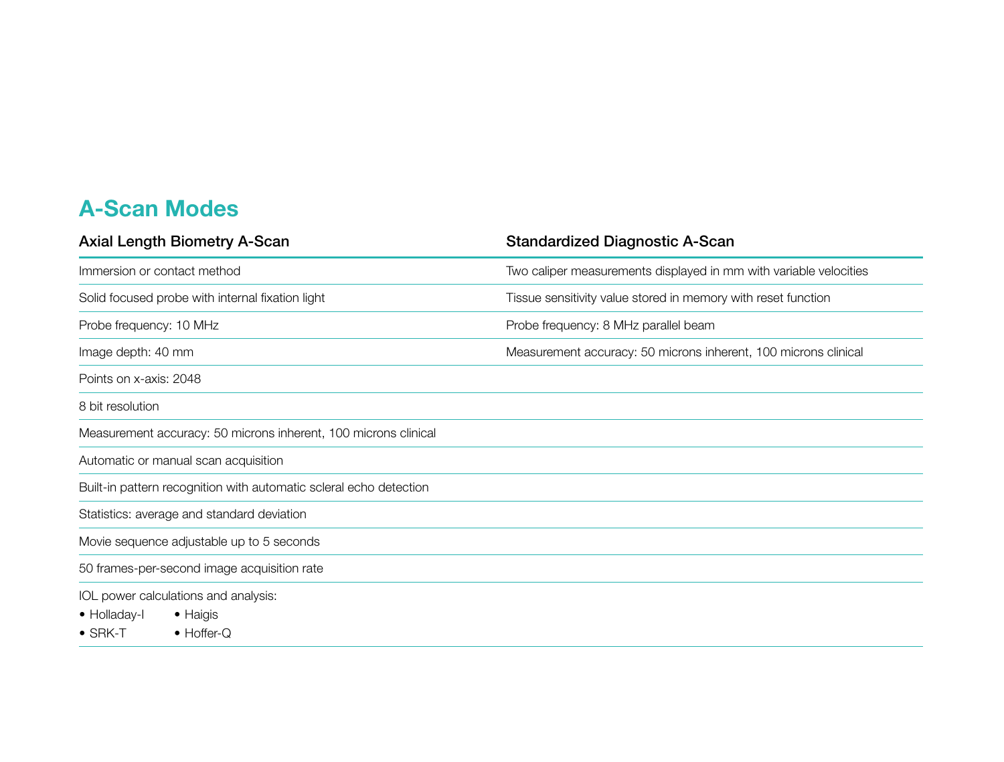## A-Scan Modes

| <b>Axial Length Biometry A-Scan</b>                                | <b>Standardized Diagnostic A-Scan</b>                             |
|--------------------------------------------------------------------|-------------------------------------------------------------------|
| Immersion or contact method                                        | Two caliper measurements displayed in mm with variable velocities |
| Solid focused probe with internal fixation light                   | Tissue sensitivity value stored in memory with reset function     |
| Probe frequency: 10 MHz                                            | Probe frequency: 8 MHz parallel beam                              |
| Image depth: 40 mm                                                 | Measurement accuracy: 50 microns inherent, 100 microns clinical   |
| Points on x-axis: 2048                                             |                                                                   |
| 8 bit resolution                                                   |                                                                   |
| Measurement accuracy: 50 microns inherent, 100 microns clinical    |                                                                   |
| Automatic or manual scan acquisition                               |                                                                   |
| Built-in pattern recognition with automatic scleral echo detection |                                                                   |
| Statistics: average and standard deviation                         |                                                                   |
| Movie sequence adjustable up to 5 seconds                          |                                                                   |
| 50 frames-per-second image acquisition rate                        |                                                                   |
| IOL power calculations and analysis:                               |                                                                   |
| $\bullet$ Haigis<br>• Holladay-I                                   |                                                                   |
| $\bullet$ SRK-T<br>$\bullet$ Hoffer-Q                              |                                                                   |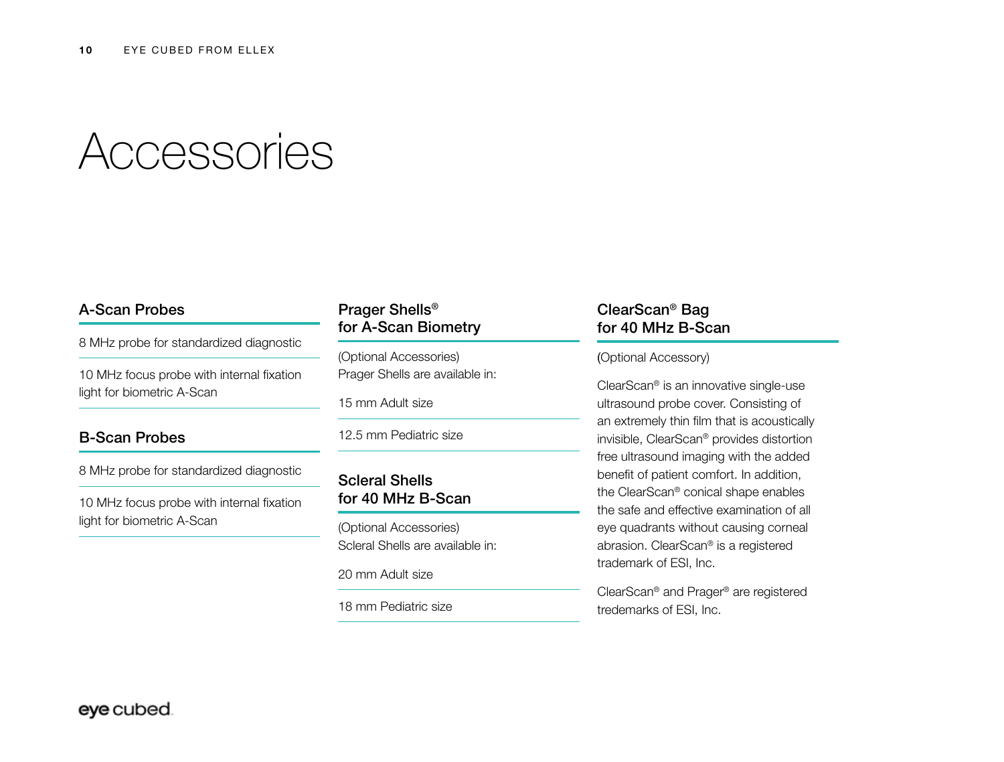## Accessories

## A-Scan Probes

8 MHz probe for standardized diagnostic

10 MHz focus probe with internal fixation light for biometric A-Scan

## B-Scan Probes

8 MHz probe for standardized diagnostic

10 MHz focus probe with internal fixation light for biometric A-Scan

## Prager Shells® for A-Scan Biometry

(Optional Accessories) Prager Shells are available in:

15 mm Adult size

12.5 mm Pediatric size

## Scleral Shells for 40 MHz B-Scan

(Optional Accessories) Scleral Shells are available in:

20 mm Adult size

18 mm Pediatric size

## ClearScan® Bag for 40 MHz B-Scan

### (Optional Accessory)

ClearScan® is an innovative single-use ultrasound probe cover. Consisting of an extremely thin film that is acoustically invisible, ClearScan® provides distortion free ultrasound imaging with the added benefit of patient comfort. In addition, the ClearScan® conical shape enables the safe and effective examination of all eye quadrants without causing corneal abrasion. ClearScan® is a registered trademark of ESI, Inc.

ClearScan® and Prager® are registered tredemarks of ESI, Inc.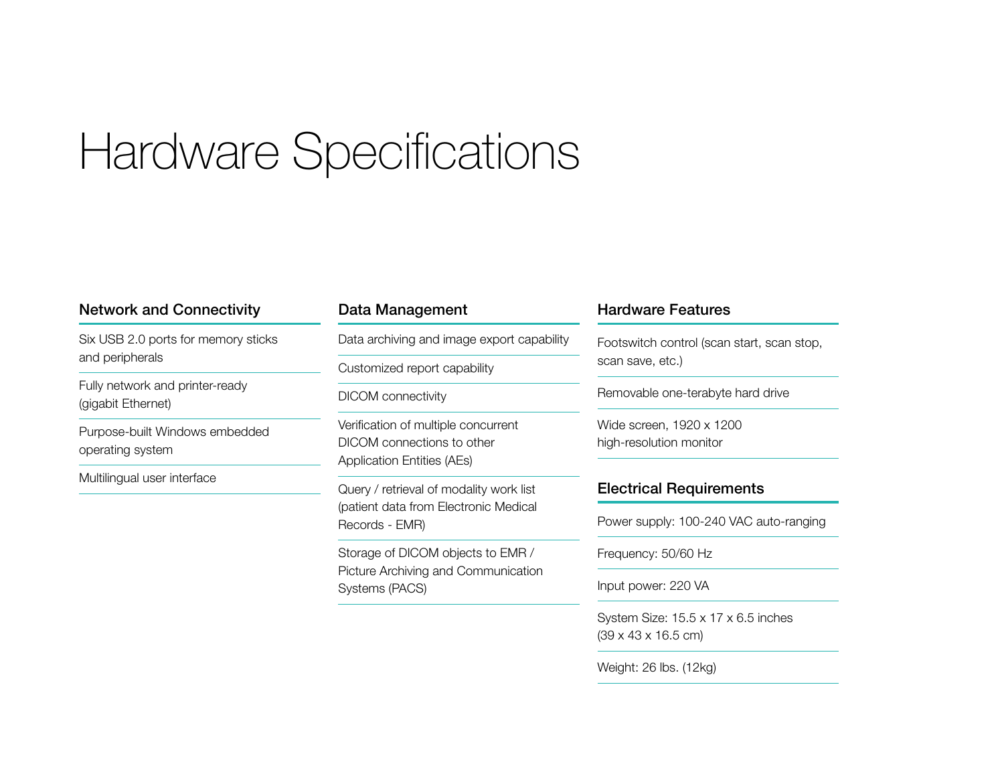## Hardware Specifications

## Network and Connectivity

Six USB 2.0 ports for memory sticks and peripherals

Fully network and printer-ready (gigabit Ethernet)

Purpose-built Windows embedded operating system

Multilingual user interface

## Data Management

Data archiving and image export capability

Customized report capability

DICOM connectivity

Verification of multiple concurrent DICOM connections to other Application Entities (AEs)

Query / retrieval of modality work list (patient data from Electronic Medical Records - EMR)

Storage of DICOM objects to EMR / Picture Archiving and Communication Systems (PACS)

## Hardware Features

Footswitch control (scan start, scan stop, scan save, etc.)

Removable one-terabyte hard drive

Wide screen, 1920 x 1200 high-resolution monitor

## Electrical Requirements

Power supply: 100-240 VAC auto-ranging

Frequency: 50/60 Hz

Input power: 220 VA

System Size: 15.5 x 17 x 6.5 inches (39 x 43 x 16.5 cm)

Weight: 26 lbs. (12kg)